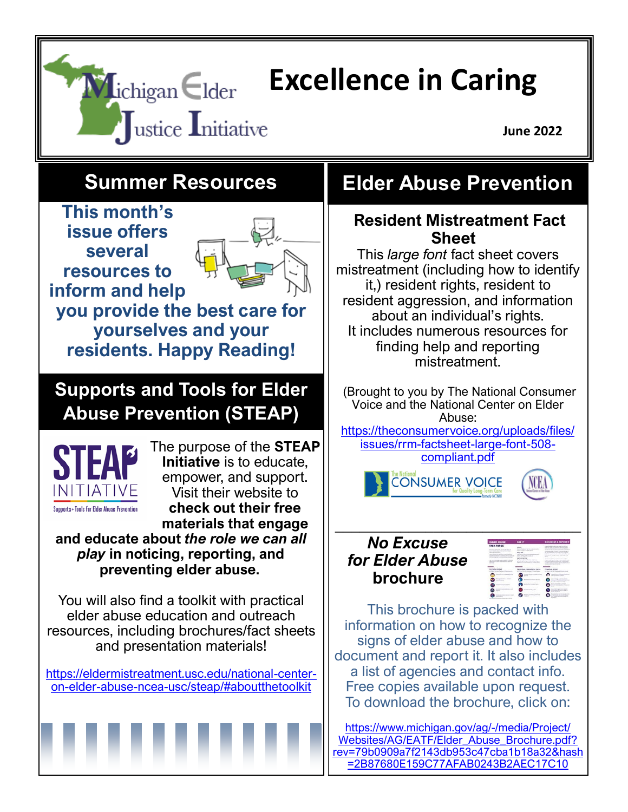

Websites/AG/EATF/Elder Abuse Brochure.pdf? [rev=79b0909a7f2143db953c47cba1b18a32&hash](https://www.michigan.gov/ag/-/media/Project/Websites/AG/EATF/Elder_Abuse_Brochure.pdf?rev=79b0909a7f2143db953c47cba1b18a32&hash=2B87680E159C77AFAB0243B2AEC17C10) [=2B87680E159C77AFAB0243B2AEC17C10](https://www.michigan.gov/ag/-/media/Project/Websites/AG/EATF/Elder_Abuse_Brochure.pdf?rev=79b0909a7f2143db953c47cba1b18a32&hash=2B87680E159C77AFAB0243B2AEC17C10)